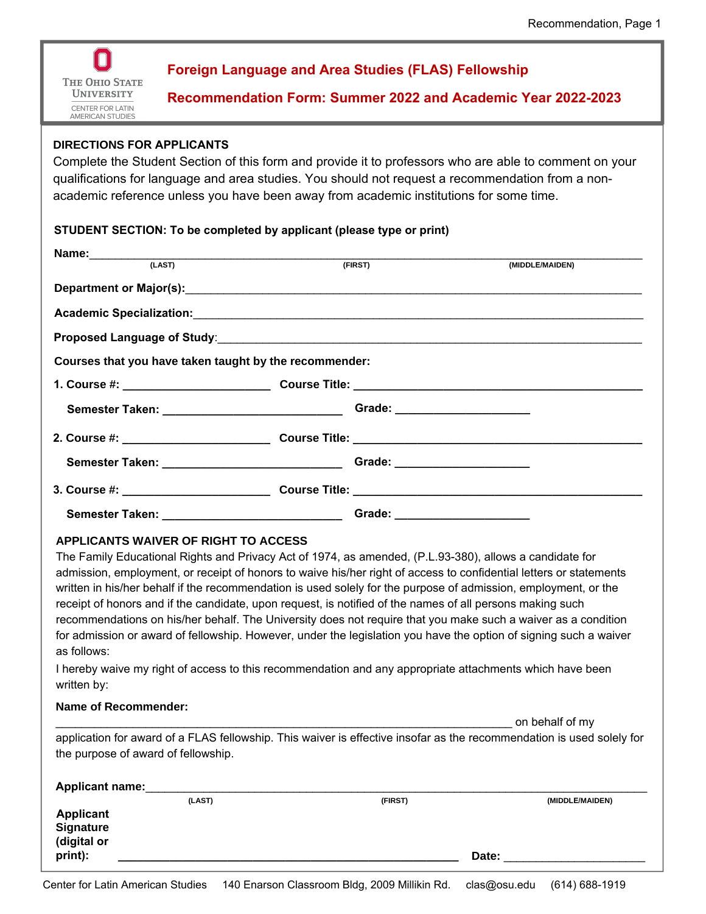

# **Foreign Language and Area Studies (FLAS) Fellowship**

# **Recommendation Form: Summer 2022 and Academic Year 2022-2023**

## **DIRECTIONS FOR APPLICANTS**

 academic reference unless you have been away from academic institutions for some time. Complete the Student Section of this form and provide it to professors who are able to comment on your qualifications for language and area studies. You should not request a recommendation from a non-

#### **STUDENT SECTION: To be completed by applicant (please type or print)**

| $\begin{picture}(180,10) \put(0,0){\vector(1,0){100}} \put(15,0){\vector(1,0){100}} \put(15,0){\vector(1,0){100}} \put(15,0){\vector(1,0){100}} \put(15,0){\vector(1,0){100}} \put(15,0){\vector(1,0){100}} \put(15,0){\vector(1,0){100}} \put(15,0){\vector(1,0){100}} \put(15,0){\vector(1,0){100}} \put(15,0){\vector(1,0){100}} \put(15,0){\vector(1,0){100}}$ |  | (FIRST)                         | (MIDDLE/MAIDEN) |  |  |  |
|--------------------------------------------------------------------------------------------------------------------------------------------------------------------------------------------------------------------------------------------------------------------------------------------------------------------------------------------------------------------|--|---------------------------------|-----------------|--|--|--|
|                                                                                                                                                                                                                                                                                                                                                                    |  |                                 |                 |  |  |  |
| Academic Specialization: 1990 and 2000 and 2000 and 2000 and 2000 and 2000 and 2000 and 2000 and 2000 and 200                                                                                                                                                                                                                                                      |  |                                 |                 |  |  |  |
|                                                                                                                                                                                                                                                                                                                                                                    |  |                                 |                 |  |  |  |
| Courses that you have taken taught by the recommender:                                                                                                                                                                                                                                                                                                             |  |                                 |                 |  |  |  |
|                                                                                                                                                                                                                                                                                                                                                                    |  |                                 |                 |  |  |  |
| Semester Taken: ___________________________________Grade: ______________________                                                                                                                                                                                                                                                                                   |  |                                 |                 |  |  |  |
|                                                                                                                                                                                                                                                                                                                                                                    |  |                                 |                 |  |  |  |
|                                                                                                                                                                                                                                                                                                                                                                    |  |                                 |                 |  |  |  |
| 3. Course #: _________________________                                                                                                                                                                                                                                                                                                                             |  |                                 |                 |  |  |  |
| Semester Taken: The contract of the contract of the contract of the contract of the contract of the contract of the contract of the contract of the contract of the contract of the contract of the contract of the contract o                                                                                                                                     |  | Grade: ________________________ |                 |  |  |  |

### **APPLICANTS WAIVER OF RIGHT TO ACCESS**

 The Family Educational Rights and Privacy Act of 1974, as amended, (P.L.93-380), allows a candidate for recommendations on his/her behalf. The University does not require that you make such a waiver as a condition admission, employment, or receipt of honors to waive his/her right of access to confidential letters or statements written in his/her behalf if the recommendation is used solely for the purpose of admission, employment, or the receipt of honors and if the candidate, upon request, is notified of the names of all persons making such for admission or award of fellowship. However, under the legislation you have the option of signing such a waiver as follows:

I hereby waive my right of access to this recommendation and any appropriate attachments which have been written by:

### **Name of Recommender:**

on behalf of my application for award of a FLAS fellowship. This waiver is effective insofar as the recommendation is used solely for the purpose of award of fellowship.

| <b>Applicant name:</b> |        |         |                 |
|------------------------|--------|---------|-----------------|
|                        | (LAST) | (FIRST) | (MIDDLE/MAIDEN) |
| <b>Applicant</b>       |        |         |                 |
| Signature              |        |         |                 |
| (digital or            |        |         |                 |
| print):                |        | Date:   |                 |
|                        |        |         |                 |